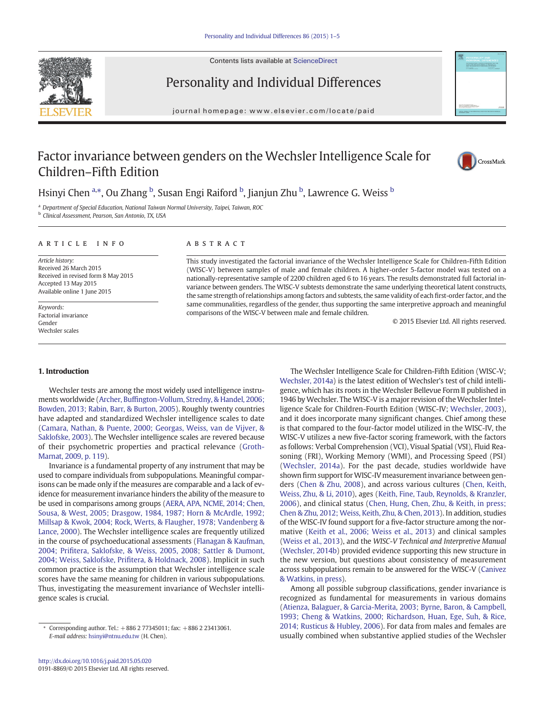Contents lists available at [ScienceDirect](http://www.sciencedirect.com/science/journal/)





## Personality and Individual Differences

journal homepage:<www.elsevier.com/locate/paid>

### Factor invariance between genders on the Wechsler Intelligence Scale for Children–Fifth Edition



Hsinyi Chen <sup>a,</sup>\*, Ou Zhang <sup>b</sup>, Susan Engi Raiford <sup>b</sup>, Jianjun Zhu <sup>b</sup>, Lawrence G. Weiss <sup>b</sup>

<sup>a</sup> Department of Special Education, National Taiwan Normal University, Taipei, Taiwan, ROC

<sup>b</sup> Clinical Assessment, Pearson, San Antonio, TX, USA

#### article info abstract

Article history: Received 26 March 2015 Received in revised form 8 May 2015 Accepted 13 May 2015 Available online 1 June 2015

Keywords: Factorial invariance Gender Wechsler scales

This study investigated the factorial invariance of the Wechsler Intelligence Scale for Children-Fifth Edition (WISC-V) between samples of male and female children. A higher-order 5-factor model was tested on a nationally-representative sample of 2200 children aged 6 to 16 years. The results demonstrated full factorial invariance between genders. The WISC-V subtests demonstrate the same underlying theoretical latent constructs, the same strength of relationships among factors and subtests, the same validity of each first-order factor, and the same communalities, regardless of the gender, thus supporting the same interpretive approach and meaningful comparisons of the WISC-V between male and female children.

© 2015 Elsevier Ltd. All rights reserved.

### 1. Introduction

Wechsler tests are among the most widely used intelligence instruments worldwide (Archer, Buffi[ngton-Vollum, Stredny, & Handel, 2006;](#page--1-0) [Bowden, 2013; Rabin, Barr, & Burton, 2005](#page--1-0)). Roughly twenty countries have adapted and standardized Wechsler intelligence scales to date [\(Camara, Nathan, & Puente, 2000; Georgas, Weiss, van de Vijver, &](#page--1-0) [Saklofske, 2003\)](#page--1-0). The Wechsler intelligence scales are revered because of their psychometric properties and practical relevance [\(Groth-](#page--1-0)[Marnat, 2009, p. 119\)](#page--1-0).

Invariance is a fundamental property of any instrument that may be used to compare individuals from subpopulations. Meaningful comparisons can be made only if the measures are comparable and a lack of evidence for measurement invariance hinders the ability of the measure to be used in comparisons among groups [\(AERA, APA, NCME, 2014; Chen,](#page--1-0) [Sousa, & West, 2005; Drasgow, 1984, 1987; Horn & McArdle, 1992;](#page--1-0) [Millsap & Kwok, 2004; Rock, Werts, & Flaugher, 1978; Vandenberg &](#page--1-0) [Lance, 2000](#page--1-0)). The Wechsler intelligence scales are frequently utilized in the course of psychoeducational assessments [\(Flanagan & Kaufman,](#page--1-0) 2004; Prifi[tera, Saklofske, & Weiss, 2005, 2008; Sattler & Dumont,](#page--1-0) [2004; Weiss, Saklofske, Pri](#page--1-0)fitera, & Holdnack, 2008). Implicit in such common practice is the assumption that Wechsler intelligence scale scores have the same meaning for children in various subpopulations. Thus, investigating the measurement invariance of Wechsler intelligence scales is crucial.

The Wechsler Intelligence Scale for Children-Fifth Edition (WISC-V; [Wechsler, 2014a](#page--1-0)) is the latest edition of Wechsler's test of child intelligence, which has its roots in the Wechsler Bellevue Form II published in 1946 by Wechsler. The WISC-V is a major revision of the Wechsler Intelligence Scale for Children-Fourth Edition (WISC-IV; [Wechsler, 2003](#page--1-0)), and it does incorporate many significant changes. Chief among these is that compared to the four-factor model utilized in the WISC-IV, the WISC-V utilizes a new five-factor scoring framework, with the factors as follows: Verbal Comprehension (VCI), Visual Spatial (VSI), Fluid Reasoning (FRI), Working Memory (WMI), and Processing Speed (PSI) [\(Wechsler, 2014a](#page--1-0)). For the past decade, studies worldwide have shown firm support for WISC-IV measurement invariance between genders ([Chen & Zhu, 2008](#page--1-0)), and across various cultures ([Chen, Keith,](#page--1-0) [Weiss, Zhu, & Li, 2010](#page--1-0)), ages ([Keith, Fine, Taub, Reynolds, & Kranzler,](#page--1-0) [2006\)](#page--1-0), and clinical status [\(Chen, Hung, Chen, Zhu, & Keith, in press;](#page--1-0) [Chen & Zhu, 2012; Weiss, Keith, Zhu, & Chen, 2013\)](#page--1-0). In addition, studies of the WISC-IV found support for a five-factor structure among the normative [\(Keith et al., 2006; Weiss et al., 2013](#page--1-0)) and clinical samples [\(Weiss et al., 2013](#page--1-0)), and the WISC-V Technical and Interpretive Manual [\(Wechsler, 2014b](#page--1-0)) provided evidence supporting this new structure in the new version, but questions about consistency of measurement across subpopulations remain to be answered for the WISC-V ([Canivez](#page--1-0) [& Watkins, in press](#page--1-0)).

Among all possible subgroup classifications, gender invariance is recognized as fundamental for measurements in various domains [\(Atienza, Balaguer, & Garcia-Merita, 2003; Byrne, Baron, & Campbell,](#page--1-0) [1993; Cheng & Watkins, 2000; Richardson, Huan, Ege, Suh, & Rice,](#page--1-0) [2014; Rusticus & Hubley, 2006\)](#page--1-0). For data from males and females are usually combined when substantive applied studies of the Wechsler

<sup>⁎</sup> Corresponding author. Tel.: +886 2 77345011; fax: +886 2 23413061. E-mail address: [hsinyi@ntnu.edu.tw](mailto:hsinyi@ntnu.edu.tw) (H. Chen).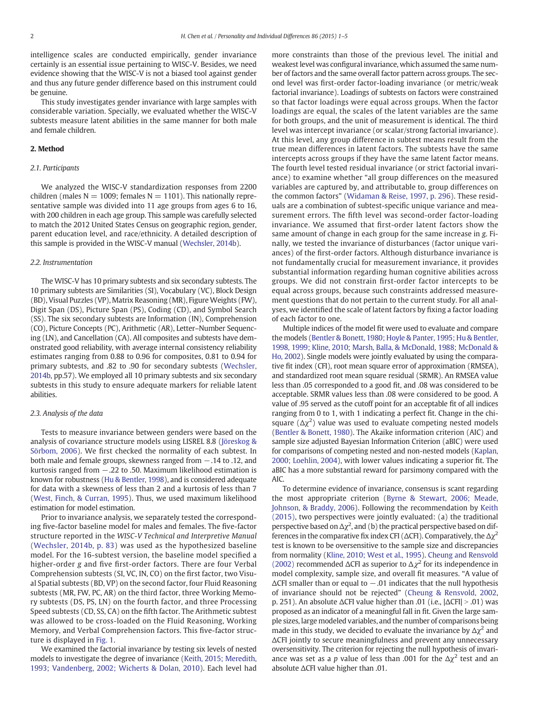intelligence scales are conducted empirically, gender invariance certainly is an essential issue pertaining to WISC-V. Besides, we need evidence showing that the WISC-V is not a biased tool against gender and thus any future gender difference based on this instrument could be genuine.

This study investigates gender invariance with large samples with considerable variation. Specially, we evaluated whether the WISC-V subtests measure latent abilities in the same manner for both male and female children.

#### 2. Method

#### 2.1. Participants

We analyzed the WISC-V standardization responses from 2200 children (males  $N = 1009$ ; females  $N = 1101$ ). This nationally representative sample was divided into 11 age groups from ages 6 to 16, with 200 children in each age group. This sample was carefully selected to match the 2012 United States Census on geographic region, gender, parent education level, and race/ethnicity. A detailed description of this sample is provided in the WISC-V manual ([Wechsler, 2014b](#page--1-0)).

#### 2.2. Instrumentation

The WISC-V has 10 primary subtests and six secondary subtests. The 10 primary subtests are Similarities (SI), Vocabulary (VC), Block Design (BD), Visual Puzzles (VP), Matrix Reasoning (MR), Figure Weights (FW), Digit Span (DS), Picture Span (PS), Coding (CD), and Symbol Search (SS). The six secondary subtests are Information (IN), Comprehension (CO), Picture Concepts (PC), Arithmetic (AR), Letter–Number Sequencing (LN), and Cancellation (CA). All composites and subtests have demonstrated good reliability, with average internal consistency reliability estimates ranging from 0.88 to 0.96 for composites, 0.81 to 0.94 for primary subtests, and .82 to .90 for secondary subtests [\(Wechsler,](#page--1-0) [2014b](#page--1-0), pp.57). We employed all 10 primary subtests and six secondary subtests in this study to ensure adequate markers for reliable latent abilities.

#### 2.3. Analysis of the data

Tests to measure invariance between genders were based on the analysis of covariance structure models using LISREL 8.8 ([Jöreskog &](#page--1-0) [Sörbom, 2006\)](#page--1-0). We first checked the normality of each subtest. In both male and female groups, skewness ranged from −.14 to .12, and kurtosis ranged from −.22 to .50. Maximum likelihood estimation is known for robustness ([Hu & Bentler, 1998](#page--1-0)), and is considered adequate for data with a skewness of less than 2 and a kurtosis of less than 7 [\(West, Finch, & Curran, 1995\)](#page--1-0). Thus, we used maximum likelihood estimation for model estimation.

Prior to invariance analysis, we separately tested the corresponding five-factor baseline model for males and females. The five-factor structure reported in the WISC-V Technical and Interpretive Manual ([Wechsler, 2014b, p. 83\)](#page--1-0) was used as the hypothesized baseline model. For the 16-subtest version, the baseline model specified a higher-order g and five first-order factors. There are four Verbal Comprehension subtests (SI, VC, IN, CO) on the first factor, two Visual Spatial subtests (BD, VP) on the second factor, four Fluid Reasoning subtests (MR, FW, PC, AR) on the third factor, three Working Memory subtests (DS, PS, LN) on the fourth factor, and three Processing Speed subtests (CD, SS, CA) on the fifth factor. The Arithmetic subtest was allowed to be cross-loaded on the Fluid Reasoning, Working Memory, and Verbal Comprehension factors. This five-factor structure is displayed in [Fig. 1](#page--1-0).

We examined the factorial invariance by testing six levels of nested models to investigate the degree of invariance [\(Keith, 2015; Meredith,](#page--1-0) [1993; Vandenberg, 2002; Wicherts & Dolan, 2010\)](#page--1-0). Each level had more constraints than those of the previous level. The initial and weakest level was configural invariance, which assumed the same number of factors and the same overall factor pattern across groups. The second level was first-order factor-loading invariance (or metric/weak factorial invariance). Loadings of subtests on factors were constrained so that factor loadings were equal across groups. When the factor loadings are equal, the scales of the latent variables are the same for both groups, and the unit of measurement is identical. The third level was intercept invariance (or scalar/strong factorial invariance). At this level, any group difference in subtest means result from the true mean differences in latent factors. The subtests have the same intercepts across groups if they have the same latent factor means. The fourth level tested residual invariance (or strict factorial invariance) to examine whether "all group differences on the measured variables are captured by, and attributable to, group differences on the common factors" ([Widaman & Reise, 1997, p. 296\)](#page--1-0). These residuals are a combination of subtest-specific unique variance and measurement errors. The fifth level was second-order factor-loading invariance. We assumed that first-order latent factors show the same amount of change in each group for the same increase in g. Finally, we tested the invariance of disturbances (factor unique variances) of the first-order factors. Although disturbance invariance is not fundamentally crucial for measurement invariance, it provides substantial information regarding human cognitive abilities across groups. We did not constrain first-order factor intercepts to be equal across groups, because such constraints addressed measurement questions that do not pertain to the current study. For all analyses, we identified the scale of latent factors by fixing a factor loading of each factor to one.

Multiple indices of the model fit were used to evaluate and compare the models ([Bentler & Bonett, 1980; Hoyle & Panter, 1995; Hu & Bentler,](#page--1-0) [1998, 1999; Kline, 2010; Marsh, Balla, & McDonald, 1988; McDonald &](#page--1-0) [Ho, 2002](#page--1-0)). Single models were jointly evaluated by using the comparative fit index (CFI), root mean square error of approximation (RMSEA), and standardized root mean square residual (SRMR). An RMSEA value less than .05 corresponded to a good fit, and .08 was considered to be acceptable. SRMR values less than .08 were considered to be good. A value of .95 served as the cutoff point for an acceptable fit of all indices ranging from 0 to 1, with 1 indicating a perfect fit. Change in the chisquare  $(\Delta \chi^2)$  value was used to evaluate competing nested models [\(Bentler & Bonett, 1980](#page--1-0)). The Akaike information criterion (AIC) and sample size adjusted Bayesian Information Criterion (aBIC) were used for comparisons of competing nested and non-nested models [\(Kaplan,](#page--1-0) [2000; Loehlin, 2004](#page--1-0)), with lower values indicating a superior fit. The aBIC has a more substantial reward for parsimony compared with the AIC.

To determine evidence of invariance, consensus is scant regarding the most appropriate criterion ([Byrne & Stewart, 2006; Meade,](#page--1-0) [Johnson, & Braddy, 2006\)](#page--1-0). Following the recommendation by [Keith](#page--1-0) [\(2015\)](#page--1-0), two perspectives were jointly evaluated: (a) the traditional perspective based on  $\Delta \chi^2$ , and (b) the practical perspective based on differences in the comparative fix index CFI ( $\Delta$ CFI). Comparatively, the  $\Delta \chi^2$ test is known to be oversensitive to the sample size and discrepancies from normality [\(Kline, 2010; West et al., 1995\)](#page--1-0). [Cheung and Rensvold](#page--1-0) [\(2002\)](#page--1-0) recommended  $\Delta$ CFI as superior to  $\Delta \chi^2$  for its independence in model complexity, sample size, and overall fit measures. "A value of  $\Delta$ CFI smaller than or equal to  $-.01$  indicates that the null hypothesis of invariance should not be rejected" [\(Cheung & Rensvold, 2002,](#page--1-0) p. 251). An absolute  $\Delta$ CFI value higher than .01 (i.e.,  $|\Delta$ CFI| > .01) was proposed as an indicator of a meaningful fall in fit. Given the large sample sizes, large modeled variables, and the number of comparisons being made in this study, we decided to evaluate the invariance by  $\Delta \chi^2$  and ΔCFI jointly to secure meaningfulness and prevent any unnecessary oversensitivity. The criterion for rejecting the null hypothesis of invariance was set as a p value of less than .001 for the  $\Delta \chi^2$  test and an absolute ΔCFI value higher than .01.